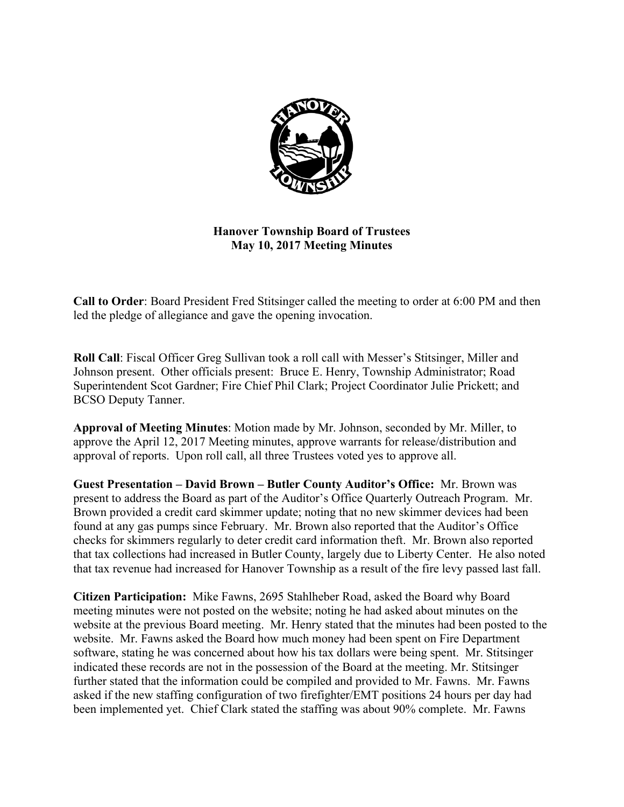

**Hanover Township Board of Trustees May 10, 2017 Meeting Minutes** 

**Call to Order**: Board President Fred Stitsinger called the meeting to order at 6:00 PM and then led the pledge of allegiance and gave the opening invocation.

**Roll Call**: Fiscal Officer Greg Sullivan took a roll call with Messer's Stitsinger, Miller and Johnson present. Other officials present: Bruce E. Henry, Township Administrator; Road Superintendent Scot Gardner; Fire Chief Phil Clark; Project Coordinator Julie Prickett; and BCSO Deputy Tanner.

**Approval of Meeting Minutes**: Motion made by Mr. Johnson, seconded by Mr. Miller, to approve the April 12, 2017 Meeting minutes, approve warrants for release/distribution and approval of reports. Upon roll call, all three Trustees voted yes to approve all.

**Guest Presentation – David Brown – Butler County Auditor's Office:** Mr. Brown was present to address the Board as part of the Auditor's Office Quarterly Outreach Program. Mr. Brown provided a credit card skimmer update; noting that no new skimmer devices had been found at any gas pumps since February. Mr. Brown also reported that the Auditor's Office checks for skimmers regularly to deter credit card information theft. Mr. Brown also reported that tax collections had increased in Butler County, largely due to Liberty Center. He also noted that tax revenue had increased for Hanover Township as a result of the fire levy passed last fall.

**Citizen Participation:** Mike Fawns, 2695 Stahlheber Road, asked the Board why Board meeting minutes were not posted on the website; noting he had asked about minutes on the website at the previous Board meeting. Mr. Henry stated that the minutes had been posted to the website. Mr. Fawns asked the Board how much money had been spent on Fire Department software, stating he was concerned about how his tax dollars were being spent. Mr. Stitsinger indicated these records are not in the possession of the Board at the meeting. Mr. Stitsinger further stated that the information could be compiled and provided to Mr. Fawns. Mr. Fawns asked if the new staffing configuration of two firefighter/EMT positions 24 hours per day had been implemented yet. Chief Clark stated the staffing was about 90% complete. Mr. Fawns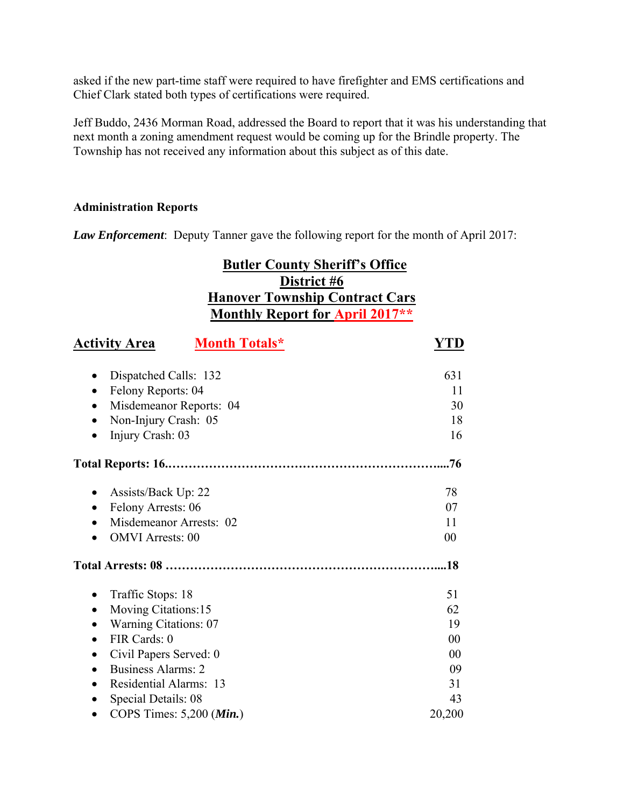asked if the new part-time staff were required to have firefighter and EMS certifications and Chief Clark stated both types of certifications were required.

Jeff Buddo, 2436 Morman Road, addressed the Board to report that it was his understanding that next month a zoning amendment request would be coming up for the Brindle property. The Township has not received any information about this subject as of this date.

## **Administration Reports**

*Law Enforcement*: Deputy Tanner gave the following report for the month of April 2017:

# **Butler County Sheriff's Office District #6 Hanover Township Contract Cars Monthly Report for April 2017\*\***

| <u>Activity Area</u>                   | <b>Month Totals*</b> | <b>YTD</b> |
|----------------------------------------|----------------------|------------|
| Dispatched Calls: 132                  |                      | 631        |
| Felony Reports: 04                     |                      | 11         |
| Misdemeanor Reports: 04                |                      | 30         |
| Non-Injury Crash: 05<br>$\bullet$      |                      | 18         |
| Injury Crash: 03                       |                      | 16         |
|                                        |                      | .76        |
| Assists/Back Up: 22                    |                      | 78         |
| Felony Arrests: 06<br>$\bullet$        |                      | 07         |
| Misdemeanor Arrests: 02                |                      | 11         |
| <b>OMVI</b> Arrests: 00                |                      | 00         |
|                                        |                      | .18        |
| Traffic Stops: 18                      |                      | 51         |
| Moving Citations:15                    |                      | 62         |
| <b>Warning Citations: 07</b>           |                      | 19         |
| FIR Cards: 0                           |                      | 00         |
| Civil Papers Served: 0                 |                      | 00         |
| <b>Business Alarms: 2</b><br>$\bullet$ |                      | 09         |
| Residential Alarms: 13<br>$\bullet$    |                      | 31         |
| Special Details: 08                    |                      | 43         |
| COPS Times: 5,200 (Min.)               |                      | 20,200     |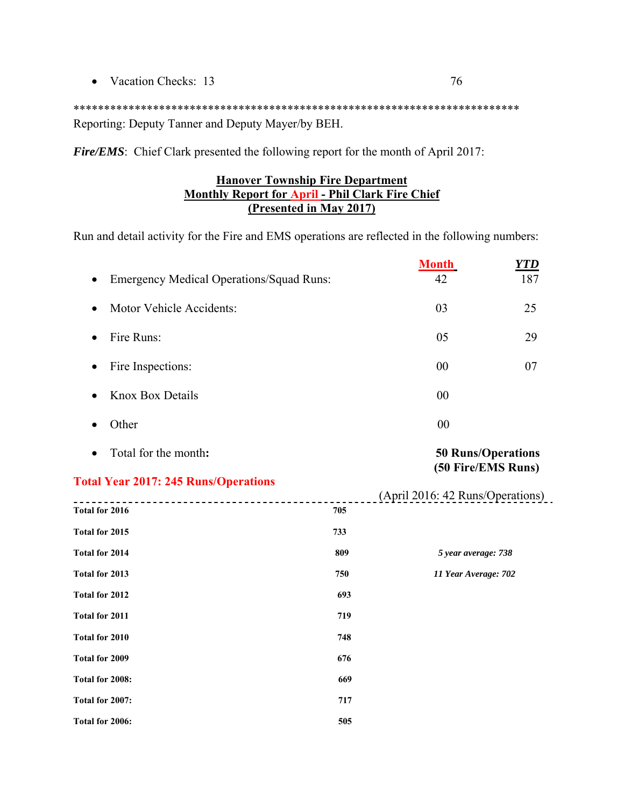• Vacation Checks: 13 76

\*\*\*\*\*\*\*\*\*\*\*\*\*\*\*\*\*\*\*\*\*\*\*\*\*\*\*\*\*\*\*\*\*\*\*\*\*\*\*\*\*\*\*\*\*\*\*\*\*\*\*\*\*\*\*\*\*\*\*\*\*\*\*\*\*\*\*\*\*\*\*\*\* Reporting: Deputy Tanner and Deputy Mayer/by BEH.

*Fire/EMS*: Chief Clark presented the following report for the month of April 2017:

## **Hanover Township Fire Department Monthly Report for April - Phil Clark Fire Chief (Presented in May 2017)**

Run and detail activity for the Fire and EMS operations are reflected in the following numbers:

| <b>Emergency Medical Operations/Squad Runs:</b> |     | <b>Month</b><br>42                                     | <b>YTD</b><br>187 |
|-------------------------------------------------|-----|--------------------------------------------------------|-------------------|
| Motor Vehicle Accidents:<br>9                   |     | 03                                                     | 25                |
| Fire Runs:<br>$\bullet$                         |     | 05                                                     | 29                |
| Fire Inspections:<br>$\bullet$                  |     | 00                                                     | 07                |
| <b>Knox Box Details</b>                         |     | 00                                                     |                   |
| Other                                           |     | 00                                                     |                   |
| Total for the month:<br>$\bullet$               |     | <b>50 Runs/Operations</b>                              |                   |
| <b>Total Year 2017: 245 Runs/Operations</b>     |     | (50 Fire/EMS Runs)<br>(April 2016: 42 Runs/Operations) |                   |
| Total for 2016                                  | 705 |                                                        |                   |
| Total for 2015                                  | 733 |                                                        |                   |
| Total for 2014                                  | 809 | 5 year average: 738                                    |                   |
| Total for 2013                                  | 750 | 11 Year Average: 702                                   |                   |
| Total for 2012                                  | 693 |                                                        |                   |
| Total for 2011                                  | 719 |                                                        |                   |
| Total for 2010                                  | 748 |                                                        |                   |
| Total for 2009                                  | 676 |                                                        |                   |
| Total for 2008:                                 | 669 |                                                        |                   |
| Total for 2007:                                 | 717 |                                                        |                   |
| Total for 2006:                                 | 505 |                                                        |                   |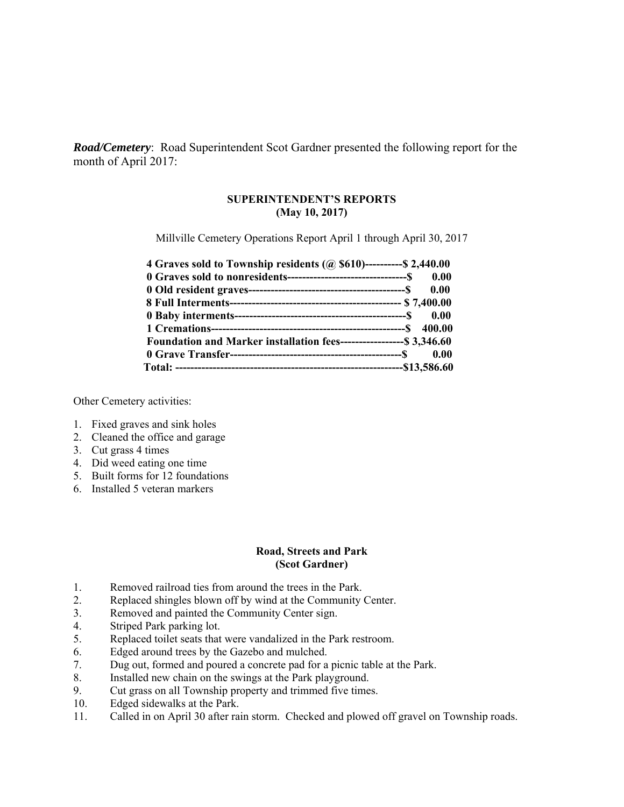*Road/Cemetery*: Road Superintendent Scot Gardner presented the following report for the month of April 2017:

#### **SUPERINTENDENT'S REPORTS (May 10, 2017)**

Millville Cemetery Operations Report April 1 through April 30, 2017

| 4 Graves sold to Township residents (@ \$610)----------\$ 2,440.00    |      |
|-----------------------------------------------------------------------|------|
|                                                                       |      |
|                                                                       | 0.00 |
|                                                                       |      |
|                                                                       |      |
|                                                                       |      |
| Foundation and Marker installation fees------------------- \$3,346.60 |      |
|                                                                       |      |
|                                                                       |      |

Other Cemetery activities:

- 1. Fixed graves and sink holes
- 2. Cleaned the office and garage
- 3. Cut grass 4 times
- 4. Did weed eating one time
- 5. Built forms for 12 foundations
- 6. Installed 5 veteran markers

#### **Road, Streets and Park (Scot Gardner)**

- 1. Removed railroad ties from around the trees in the Park.
- 2. Replaced shingles blown off by wind at the Community Center.
- 3. Removed and painted the Community Center sign.
- 4. Striped Park parking lot.
- 5. Replaced toilet seats that were vandalized in the Park restroom.
- 6. Edged around trees by the Gazebo and mulched.
- 7. Dug out, formed and poured a concrete pad for a picnic table at the Park.
- 8. Installed new chain on the swings at the Park playground.
- 9. Cut grass on all Township property and trimmed five times.
- 10. Edged sidewalks at the Park.
- 11. Called in on April 30 after rain storm. Checked and plowed off gravel on Township roads.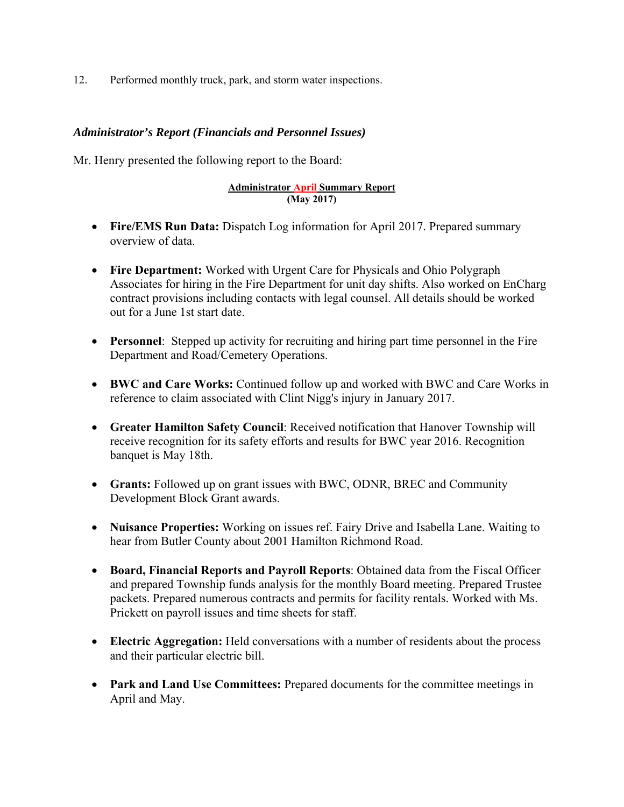12. Performed monthly truck, park, and storm water inspections.

#### *Administrator's Report (Financials and Personnel Issues)*

Mr. Henry presented the following report to the Board:

#### **Administrator April Summary Report (May 2017)**

- **Fire/EMS Run Data:** Dispatch Log information for April 2017. Prepared summary overview of data.
- **Fire Department:** Worked with Urgent Care for Physicals and Ohio Polygraph Associates for hiring in the Fire Department for unit day shifts. Also worked on EnCharg contract provisions including contacts with legal counsel. All details should be worked out for a June 1st start date.
- **Personnel**: Stepped up activity for recruiting and hiring part time personnel in the Fire Department and Road/Cemetery Operations.
- **BWC and Care Works:** Continued follow up and worked with BWC and Care Works in reference to claim associated with Clint Nigg's injury in January 2017.
- **Greater Hamilton Safety Council**: Received notification that Hanover Township will receive recognition for its safety efforts and results for BWC year 2016. Recognition banquet is May 18th.
- **Grants:** Followed up on grant issues with BWC, ODNR, BREC and Community Development Block Grant awards.
- **Nuisance Properties:** Working on issues ref. Fairy Drive and Isabella Lane. Waiting to hear from Butler County about 2001 Hamilton Richmond Road.
- **Board, Financial Reports and Payroll Reports**: Obtained data from the Fiscal Officer and prepared Township funds analysis for the monthly Board meeting. Prepared Trustee packets. Prepared numerous contracts and permits for facility rentals. Worked with Ms. Prickett on payroll issues and time sheets for staff.
- **Electric Aggregation:** Held conversations with a number of residents about the process and their particular electric bill.
- **Park and Land Use Committees:** Prepared documents for the committee meetings in April and May.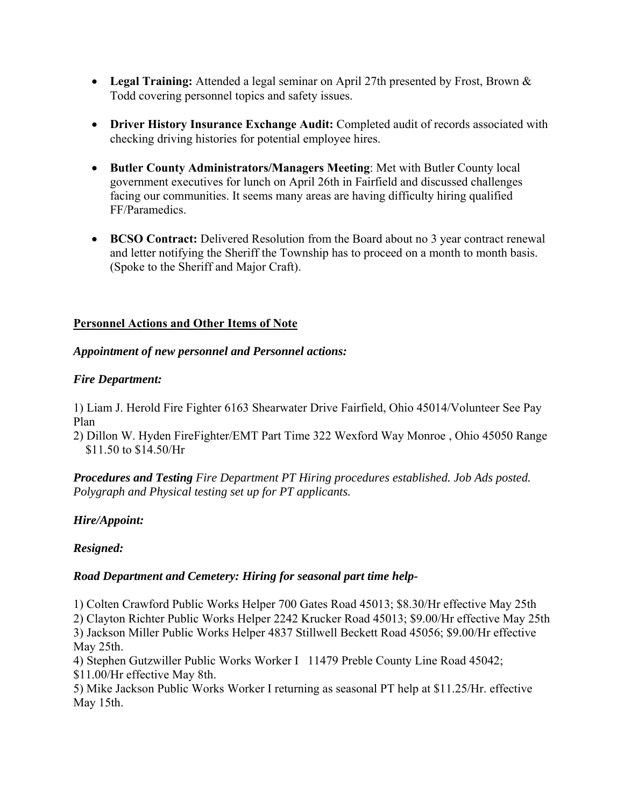- **Legal Training:** Attended a legal seminar on April 27th presented by Frost, Brown & Todd covering personnel topics and safety issues.
- **Driver History Insurance Exchange Audit:** Completed audit of records associated with checking driving histories for potential employee hires.
- **Butler County Administrators/Managers Meeting**: Met with Butler County local government executives for lunch on April 26th in Fairfield and discussed challenges facing our communities. It seems many areas are having difficulty hiring qualified FF/Paramedics.
- **BCSO Contract:** Delivered Resolution from the Board about no 3 year contract renewal and letter notifying the Sheriff the Township has to proceed on a month to month basis. (Spoke to the Sheriff and Major Craft).

# **Personnel Actions and Other Items of Note**

## *Appointment of new personnel and Personnel actions:*

## *Fire Department:*

1) Liam J. Herold Fire Fighter 6163 Shearwater Drive Fairfield, Ohio 45014/Volunteer See Pay Plan

2) Dillon W. Hyden FireFighter/EMT Part Time 322 Wexford Way Monroe , Ohio 45050 Range \$11.50 to \$14.50/Hr

*Procedures and Testing Fire Department PT Hiring procedures established. Job Ads posted. Polygraph and Physical testing set up for PT applicants.* 

## *Hire/Appoint:*

## *Resigned:*

## *Road Department and Cemetery: Hiring for seasonal part time help-*

1) Colten Crawford Public Works Helper 700 Gates Road 45013; \$8.30/Hr effective May 25th 2) Clayton Richter Public Works Helper 2242 Krucker Road 45013; \$9.00/Hr effective May 25th 3) Jackson Miller Public Works Helper 4837 Stillwell Beckett Road 45056; \$9.00/Hr effective May 25th.

4) Stephen Gutzwiller Public Works Worker I 11479 Preble County Line Road 45042; \$11.00/Hr effective May 8th.

5) Mike Jackson Public Works Worker I returning as seasonal PT help at \$11.25/Hr. effective May 15th.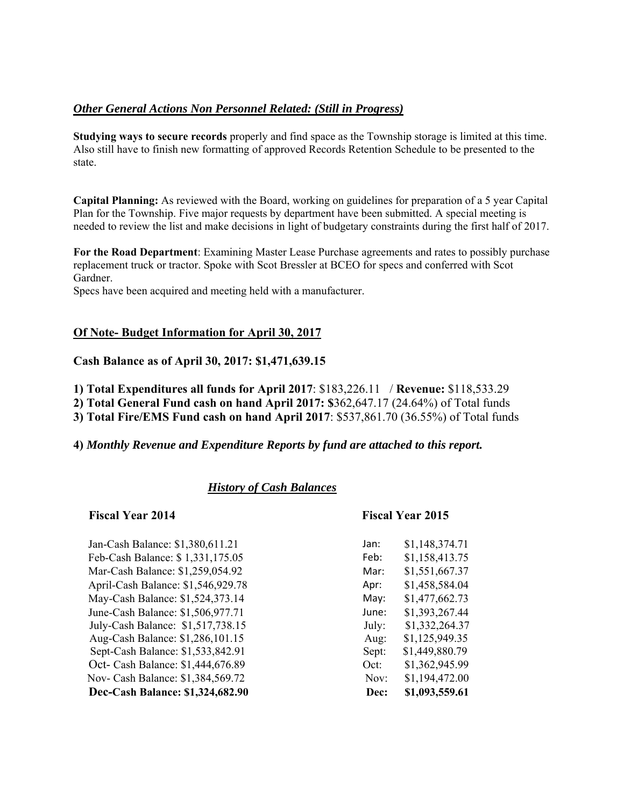## *Other General Actions Non Personnel Related: (Still in Progress)*

**Studying ways to secure records** properly and find space as the Township storage is limited at this time. Also still have to finish new formatting of approved Records Retention Schedule to be presented to the state.

**Capital Planning:** As reviewed with the Board, working on guidelines for preparation of a 5 year Capital Plan for the Township. Five major requests by department have been submitted. A special meeting is needed to review the list and make decisions in light of budgetary constraints during the first half of 2017.

**For the Road Department**: Examining Master Lease Purchase agreements and rates to possibly purchase replacement truck or tractor. Spoke with Scot Bressler at BCEO for specs and conferred with Scot Gardner.

Specs have been acquired and meeting held with a manufacturer.

## **Of Note- Budget Information for April 30, 2017**

#### **Cash Balance as of April 30, 2017: \$1,471,639.15**

**1) Total Expenditures all funds for April 2017**: \$183,226.11 / **Revenue:** \$118,533.29

**2) Total General Fund cash on hand April 2017: \$**362,647.17 (24.64%) of Total funds

**3) Total Fire/EMS Fund cash on hand April 2017**: \$537,861.70 (36.55%) of Total funds

#### **4)** *Monthly Revenue and Expenditure Reports by fund are attached to this report.*

## *History of Cash Balances*

#### **Fiscal Year 2014 Fiscal Year 2015**

| Dec-Cash Balance: \$1,324,682.90   | Dec:  | \$1,093,559.61 |
|------------------------------------|-------|----------------|
| Nov- Cash Balance: \$1,384,569.72  | Nov:  | \$1,194,472.00 |
| Oct- Cash Balance: \$1,444,676.89  | Oct:  | \$1,362,945.99 |
| Sept-Cash Balance: \$1,533,842.91  | Sept: | \$1,449,880.79 |
| Aug-Cash Balance: \$1,286,101.15   | Aug:  | \$1,125,949.35 |
| July-Cash Balance: \$1,517,738.15  | July: | \$1,332,264.37 |
| June-Cash Balance: \$1,506,977.71  | June: | \$1,393,267.44 |
| May-Cash Balance: \$1,524,373.14   | May:  | \$1,477,662.73 |
| April-Cash Balance: \$1,546,929.78 | Apr:  | \$1,458,584.04 |
| Mar-Cash Balance: \$1,259,054.92   | Mar:  | \$1,551,667.37 |
| Feb-Cash Balance: \$1,331,175.05   | Feb:  | \$1,158,413.75 |
| Jan-Cash Balance: \$1,380,611.21   | Jan:  | \$1,148,374.71 |

| an:   | \$1,148,374.71 |
|-------|----------------|
| ∶eb:  | \$1,158,413.75 |
| Mar:  | \$1,551,667.37 |
| \pr:  | \$1,458,584.04 |
| Иау:  | \$1,477,662.73 |
| une:  | \$1,393,267.44 |
| July: | \$1,332,264.37 |
| Aug:  | \$1,125,949.35 |
| Sept: | \$1,449,880.79 |
| )ct:  | \$1,362,945.99 |
| Nov:  | \$1,194,472.00 |
| Dec:  | \$1,093,559.61 |
|       |                |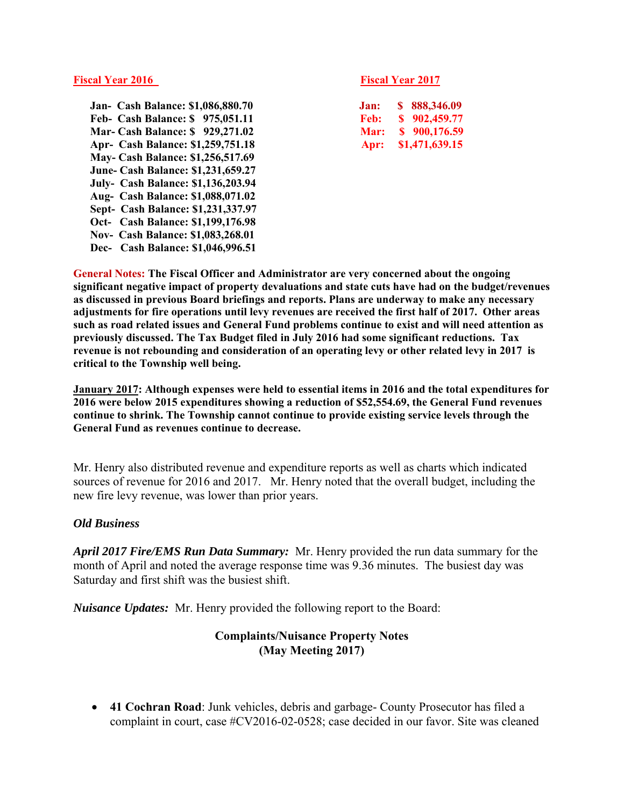#### **Fiscal Year 2016** Fiscal Year 2016

 **Jan- Cash Balance: \$1,086,880.70 Feb- Cash Balance: \$ 975,051.11 Mar- Cash Balance: \$ 929,271.02 Apr- Cash Balance: \$1,259,751.18 May- Cash Balance: \$1,256,517.69 June- Cash Balance: \$1,231,659.27 July- Cash Balance: \$1,136,203.94 Aug- Cash Balance: \$1,088,071.02 Sept- Cash Balance: \$1,231,337.97 Oct- Cash Balance: \$1,199,176.98 Nov- Cash Balance: \$1,083,268.01 Dec- Cash Balance: \$1,046,996.51** 

| Jan: | \$888,346.09   |
|------|----------------|
| Feb: | \$902,459.77   |
| Mar: | \$900,176.59   |
| Apr: | \$1,471,639.15 |

**General Notes: The Fiscal Officer and Administrator are very concerned about the ongoing significant negative impact of property devaluations and state cuts have had on the budget/revenues as discussed in previous Board briefings and reports. Plans are underway to make any necessary adjustments for fire operations until levy revenues are received the first half of 2017. Other areas such as road related issues and General Fund problems continue to exist and will need attention as previously discussed. The Tax Budget filed in July 2016 had some significant reductions. Tax revenue is not rebounding and consideration of an operating levy or other related levy in 2017 is critical to the Township well being.** 

**January 2017: Although expenses were held to essential items in 2016 and the total expenditures for 2016 were below 2015 expenditures showing a reduction of \$52,554.69, the General Fund revenues continue to shrink. The Township cannot continue to provide existing service levels through the General Fund as revenues continue to decrease.** 

Mr. Henry also distributed revenue and expenditure reports as well as charts which indicated sources of revenue for 2016 and 2017. Mr. Henry noted that the overall budget, including the new fire levy revenue, was lower than prior years.

## *Old Business*

*April 2017 Fire/EMS Run Data Summary:* Mr. Henry provided the run data summary for the month of April and noted the average response time was 9.36 minutes. The busiest day was Saturday and first shift was the busiest shift.

*Nuisance Updates:* Mr. Henry provided the following report to the Board:

## **Complaints/Nuisance Property Notes (May Meeting 2017)**

 **41 Cochran Road**: Junk vehicles, debris and garbage- County Prosecutor has filed a complaint in court, case #CV2016-02-0528; case decided in our favor. Site was cleaned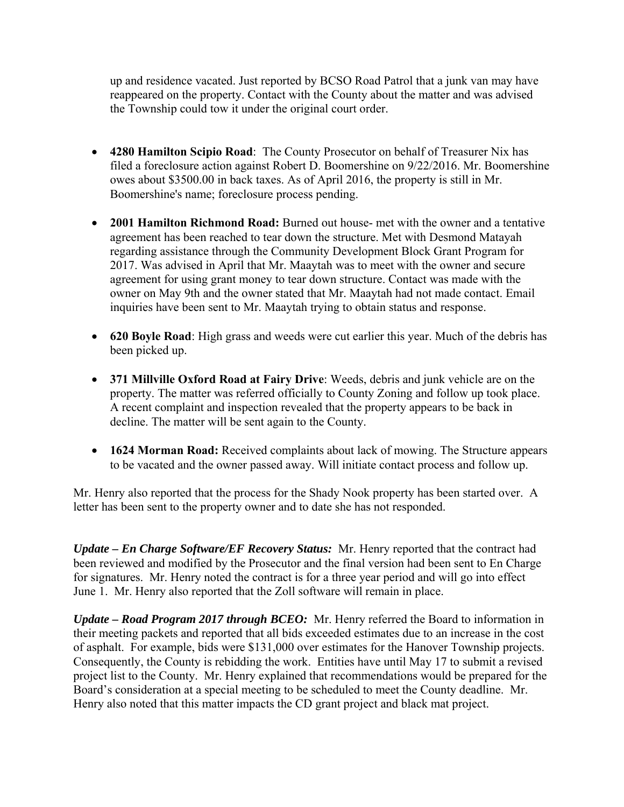up and residence vacated. Just reported by BCSO Road Patrol that a junk van may have reappeared on the property. Contact with the County about the matter and was advised the Township could tow it under the original court order.

- **4280 Hamilton Scipio Road**: The County Prosecutor on behalf of Treasurer Nix has filed a foreclosure action against Robert D. Boomershine on 9/22/2016. Mr. Boomershine owes about \$3500.00 in back taxes. As of April 2016, the property is still in Mr. Boomershine's name; foreclosure process pending.
- **2001 Hamilton Richmond Road:** Burned out house- met with the owner and a tentative agreement has been reached to tear down the structure. Met with Desmond Matayah regarding assistance through the Community Development Block Grant Program for 2017. Was advised in April that Mr. Maaytah was to meet with the owner and secure agreement for using grant money to tear down structure. Contact was made with the owner on May 9th and the owner stated that Mr. Maaytah had not made contact. Email inquiries have been sent to Mr. Maaytah trying to obtain status and response.
- **620 Boyle Road**: High grass and weeds were cut earlier this year. Much of the debris has been picked up.
- **371 Millville Oxford Road at Fairy Drive**: Weeds, debris and junk vehicle are on the property. The matter was referred officially to County Zoning and follow up took place. A recent complaint and inspection revealed that the property appears to be back in decline. The matter will be sent again to the County.
- **1624 Morman Road:** Received complaints about lack of mowing. The Structure appears to be vacated and the owner passed away. Will initiate contact process and follow up.

Mr. Henry also reported that the process for the Shady Nook property has been started over. A letter has been sent to the property owner and to date she has not responded.

*Update – En Charge Software/EF Recovery Status:* Mr. Henry reported that the contract had been reviewed and modified by the Prosecutor and the final version had been sent to En Charge for signatures. Mr. Henry noted the contract is for a three year period and will go into effect June 1. Mr. Henry also reported that the Zoll software will remain in place.

*Update – Road Program 2017 through BCEO:* Mr. Henry referred the Board to information in their meeting packets and reported that all bids exceeded estimates due to an increase in the cost of asphalt. For example, bids were \$131,000 over estimates for the Hanover Township projects. Consequently, the County is rebidding the work. Entities have until May 17 to submit a revised project list to the County. Mr. Henry explained that recommendations would be prepared for the Board's consideration at a special meeting to be scheduled to meet the County deadline. Mr. Henry also noted that this matter impacts the CD grant project and black mat project.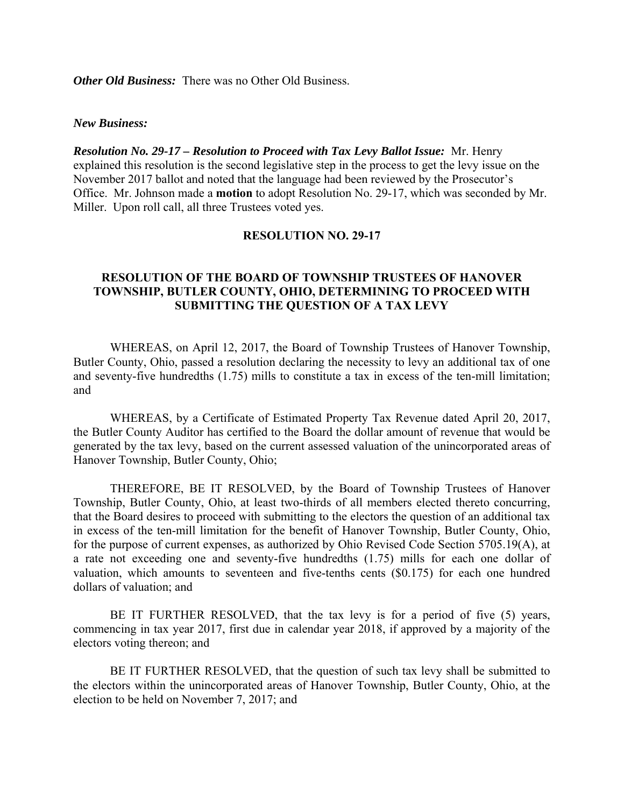*Other Old Business:* There was no Other Old Business.

#### *New Business:*

*Resolution No. 29-17 – Resolution to Proceed with Tax Levy Ballot Issue:* Mr. Henry explained this resolution is the second legislative step in the process to get the levy issue on the November 2017 ballot and noted that the language had been reviewed by the Prosecutor's Office. Mr. Johnson made a **motion** to adopt Resolution No. 29-17, which was seconded by Mr. Miller. Upon roll call, all three Trustees voted yes.

#### **RESOLUTION NO. 29-17**

## **RESOLUTION OF THE BOARD OF TOWNSHIP TRUSTEES OF HANOVER TOWNSHIP, BUTLER COUNTY, OHIO, DETERMINING TO PROCEED WITH SUBMITTING THE QUESTION OF A TAX LEVY**

 WHEREAS, on April 12, 2017, the Board of Township Trustees of Hanover Township, Butler County, Ohio, passed a resolution declaring the necessity to levy an additional tax of one and seventy-five hundredths (1.75) mills to constitute a tax in excess of the ten-mill limitation; and

 WHEREAS, by a Certificate of Estimated Property Tax Revenue dated April 20, 2017, the Butler County Auditor has certified to the Board the dollar amount of revenue that would be generated by the tax levy, based on the current assessed valuation of the unincorporated areas of Hanover Township, Butler County, Ohio;

THEREFORE, BE IT RESOLVED, by the Board of Township Trustees of Hanover Township, Butler County, Ohio, at least two-thirds of all members elected thereto concurring, that the Board desires to proceed with submitting to the electors the question of an additional tax in excess of the ten-mill limitation for the benefit of Hanover Township, Butler County, Ohio, for the purpose of current expenses, as authorized by Ohio Revised Code Section 5705.19(A), at a rate not exceeding one and seventy-five hundredths (1.75) mills for each one dollar of valuation, which amounts to seventeen and five-tenths cents (\$0.175) for each one hundred dollars of valuation; and

 BE IT FURTHER RESOLVED, that the tax levy is for a period of five (5) years, commencing in tax year 2017, first due in calendar year 2018, if approved by a majority of the electors voting thereon; and

 BE IT FURTHER RESOLVED, that the question of such tax levy shall be submitted to the electors within the unincorporated areas of Hanover Township, Butler County, Ohio, at the election to be held on November 7, 2017; and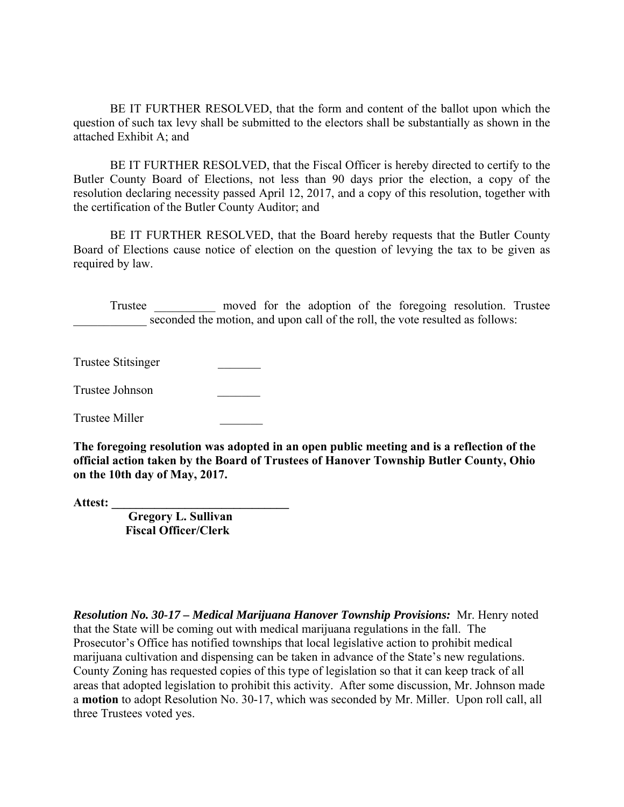BE IT FURTHER RESOLVED, that the form and content of the ballot upon which the question of such tax levy shall be submitted to the electors shall be substantially as shown in the attached Exhibit A; and

 BE IT FURTHER RESOLVED, that the Fiscal Officer is hereby directed to certify to the Butler County Board of Elections, not less than 90 days prior the election, a copy of the resolution declaring necessity passed April 12, 2017, and a copy of this resolution, together with the certification of the Butler County Auditor; and

 BE IT FURTHER RESOLVED, that the Board hereby requests that the Butler County Board of Elections cause notice of election on the question of levying the tax to be given as required by law.

 Trustee \_\_\_\_\_\_\_\_\_\_ moved for the adoption of the foregoing resolution. Trustee seconded the motion, and upon call of the roll, the vote resulted as follows:

Trustee Stitsinger \_\_\_\_\_\_\_

Trustee Johnson \_\_\_\_\_\_\_

Trustee Miller \_\_\_\_\_\_\_

**The foregoing resolution was adopted in an open public meeting and is a reflection of the official action taken by the Board of Trustees of Hanover Township Butler County, Ohio on the 10th day of May, 2017.** 

**Attest: \_\_\_\_\_\_\_\_\_\_\_\_\_\_\_\_\_\_\_\_\_\_\_\_\_\_\_\_\_** 

 **Gregory L. Sullivan Fiscal Officer/Clerk** 

*Resolution No. 30-17 – Medical Marijuana Hanover Township Provisions:* Mr. Henry noted that the State will be coming out with medical marijuana regulations in the fall. The Prosecutor's Office has notified townships that local legislative action to prohibit medical marijuana cultivation and dispensing can be taken in advance of the State's new regulations. County Zoning has requested copies of this type of legislation so that it can keep track of all areas that adopted legislation to prohibit this activity. After some discussion, Mr. Johnson made a **motion** to adopt Resolution No. 30-17, which was seconded by Mr. Miller. Upon roll call, all three Trustees voted yes.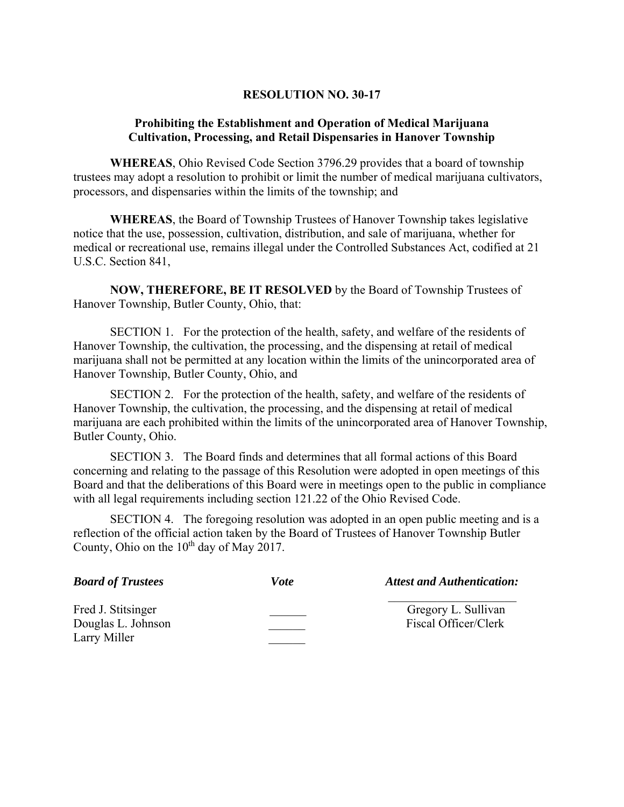#### **RESOLUTION NO. 30-17**

## **Prohibiting the Establishment and Operation of Medical Marijuana Cultivation, Processing, and Retail Dispensaries in Hanover Township**

**WHEREAS**, Ohio Revised Code Section 3796.29 provides that a board of township trustees may adopt a resolution to prohibit or limit the number of medical marijuana cultivators, processors, and dispensaries within the limits of the township; and

**WHEREAS**, the Board of Township Trustees of Hanover Township takes legislative notice that the use, possession, cultivation, distribution, and sale of marijuana, whether for medical or recreational use, remains illegal under the Controlled Substances Act, codified at 21 U.S.C. Section 841,

**NOW, THEREFORE, BE IT RESOLVED** by the Board of Township Trustees of Hanover Township, Butler County, Ohio, that:

SECTION 1. For the protection of the health, safety, and welfare of the residents of Hanover Township, the cultivation, the processing, and the dispensing at retail of medical marijuana shall not be permitted at any location within the limits of the unincorporated area of Hanover Township, Butler County, Ohio, and

SECTION 2. For the protection of the health, safety, and welfare of the residents of Hanover Township, the cultivation, the processing, and the dispensing at retail of medical marijuana are each prohibited within the limits of the unincorporated area of Hanover Township, Butler County, Ohio.

SECTION 3. The Board finds and determines that all formal actions of this Board concerning and relating to the passage of this Resolution were adopted in open meetings of this Board and that the deliberations of this Board were in meetings open to the public in compliance with all legal requirements including section 121.22 of the Ohio Revised Code.

SECTION 4. The foregoing resolution was adopted in an open public meeting and is a reflection of the official action taken by the Board of Trustees of Hanover Township Butler County, Ohio on the  $10^{th}$  day of May 2017.

| <b>Board of Trustees</b>                 | <i>Vote</i> | <b>Attest and Authentication:</b>           |
|------------------------------------------|-------------|---------------------------------------------|
| Fred J. Stitsinger<br>Douglas L. Johnson |             | Gregory L. Sullivan<br>Fiscal Officer/Clerk |
| Larry Miller                             |             |                                             |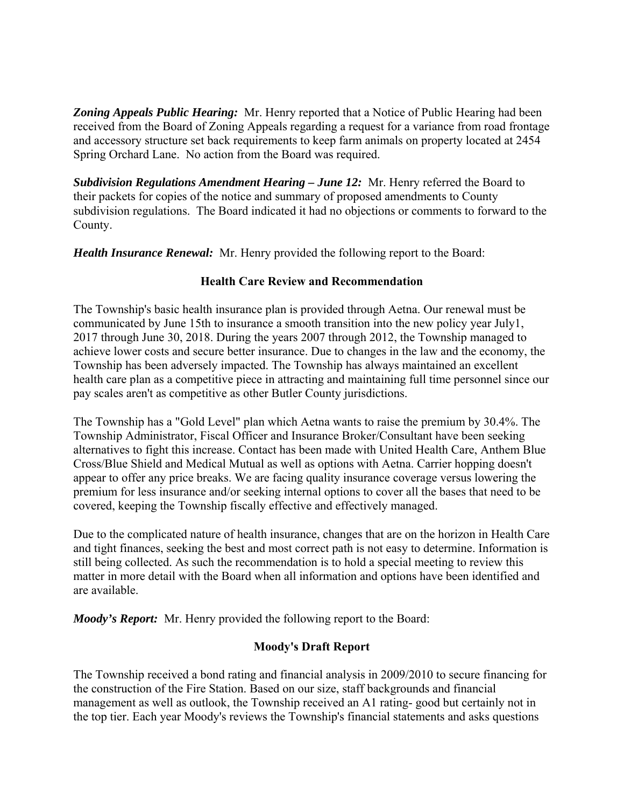*Zoning Appeals Public Hearing:* Mr. Henry reported that a Notice of Public Hearing had been received from the Board of Zoning Appeals regarding a request for a variance from road frontage and accessory structure set back requirements to keep farm animals on property located at 2454 Spring Orchard Lane. No action from the Board was required.

*Subdivision Regulations Amendment Hearing – June 12:* Mr. Henry referred the Board to their packets for copies of the notice and summary of proposed amendments to County subdivision regulations. The Board indicated it had no objections or comments to forward to the County.

*Health Insurance Renewal:* Mr. Henry provided the following report to the Board:

# **Health Care Review and Recommendation**

The Township's basic health insurance plan is provided through Aetna. Our renewal must be communicated by June 15th to insurance a smooth transition into the new policy year July1, 2017 through June 30, 2018. During the years 2007 through 2012, the Township managed to achieve lower costs and secure better insurance. Due to changes in the law and the economy, the Township has been adversely impacted. The Township has always maintained an excellent health care plan as a competitive piece in attracting and maintaining full time personnel since our pay scales aren't as competitive as other Butler County jurisdictions.

The Township has a "Gold Level" plan which Aetna wants to raise the premium by 30.4%. The Township Administrator, Fiscal Officer and Insurance Broker/Consultant have been seeking alternatives to fight this increase. Contact has been made with United Health Care, Anthem Blue Cross/Blue Shield and Medical Mutual as well as options with Aetna. Carrier hopping doesn't appear to offer any price breaks. We are facing quality insurance coverage versus lowering the premium for less insurance and/or seeking internal options to cover all the bases that need to be covered, keeping the Township fiscally effective and effectively managed.

Due to the complicated nature of health insurance, changes that are on the horizon in Health Care and tight finances, seeking the best and most correct path is not easy to determine. Information is still being collected. As such the recommendation is to hold a special meeting to review this matter in more detail with the Board when all information and options have been identified and are available.

*Moody's Report:* Mr. Henry provided the following report to the Board:

# **Moody's Draft Report**

The Township received a bond rating and financial analysis in 2009/2010 to secure financing for the construction of the Fire Station. Based on our size, staff backgrounds and financial management as well as outlook, the Township received an A1 rating- good but certainly not in the top tier. Each year Moody's reviews the Township's financial statements and asks questions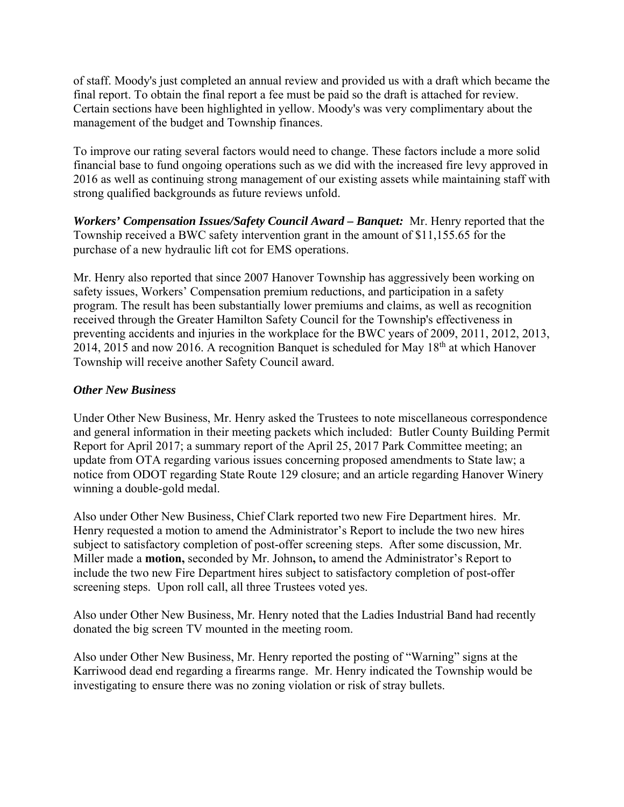of staff. Moody's just completed an annual review and provided us with a draft which became the final report. To obtain the final report a fee must be paid so the draft is attached for review. Certain sections have been highlighted in yellow. Moody's was very complimentary about the management of the budget and Township finances.

To improve our rating several factors would need to change. These factors include a more solid financial base to fund ongoing operations such as we did with the increased fire levy approved in 2016 as well as continuing strong management of our existing assets while maintaining staff with strong qualified backgrounds as future reviews unfold.

*Workers' Compensation Issues/Safety Council Award – Banquet:* Mr. Henry reported that the Township received a BWC safety intervention grant in the amount of \$11,155.65 for the purchase of a new hydraulic lift cot for EMS operations.

Mr. Henry also reported that since 2007 Hanover Township has aggressively been working on safety issues, Workers' Compensation premium reductions, and participation in a safety program. The result has been substantially lower premiums and claims, as well as recognition received through the Greater Hamilton Safety Council for the Township's effectiveness in preventing accidents and injuries in the workplace for the BWC years of 2009, 2011, 2012, 2013, 2014, 2015 and now 2016. A recognition Banquet is scheduled for May  $18<sup>th</sup>$  at which Hanover Township will receive another Safety Council award.

## *Other New Business*

Under Other New Business, Mr. Henry asked the Trustees to note miscellaneous correspondence and general information in their meeting packets which included: Butler County Building Permit Report for April 2017; a summary report of the April 25, 2017 Park Committee meeting; an update from OTA regarding various issues concerning proposed amendments to State law; a notice from ODOT regarding State Route 129 closure; and an article regarding Hanover Winery winning a double-gold medal.

Also under Other New Business, Chief Clark reported two new Fire Department hires. Mr. Henry requested a motion to amend the Administrator's Report to include the two new hires subject to satisfactory completion of post-offer screening steps. After some discussion, Mr. Miller made a **motion,** seconded by Mr. Johnson**,** to amend the Administrator's Report to include the two new Fire Department hires subject to satisfactory completion of post-offer screening steps. Upon roll call, all three Trustees voted yes.

Also under Other New Business, Mr. Henry noted that the Ladies Industrial Band had recently donated the big screen TV mounted in the meeting room.

Also under Other New Business, Mr. Henry reported the posting of "Warning" signs at the Karriwood dead end regarding a firearms range. Mr. Henry indicated the Township would be investigating to ensure there was no zoning violation or risk of stray bullets.